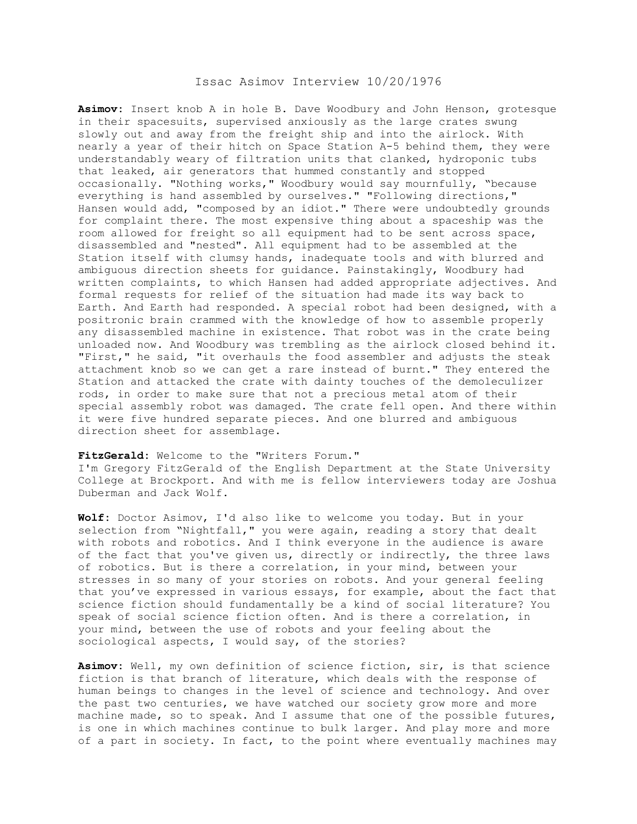## Issac Asimov Interview 10/20/1976

**Asimov:** Insert knob A in hole B. Dave Woodbury and John Henson, grotesque in their spacesuits, supervised anxiously as the large crates swung slowly out and away from the freight ship and into the airlock. With nearly a year of their hitch on Space Station A-5 behind them, they were understandably weary of filtration units that clanked, hydroponic tubs that leaked, air generators that hummed constantly and stopped occasionally. "Nothing works," Woodbury would say mournfully, "because everything is hand assembled by ourselves." "Following directions," Hansen would add, "composed by an idiot." There were undoubtedly grounds for complaint there. The most expensive thing about a spaceship was the room allowed for freight so all equipment had to be sent across space, disassembled and "nested". All equipment had to be assembled at the Station itself with clumsy hands, inadequate tools and with blurred and ambiguous direction sheets for guidance. Painstakingly, Woodbury had written complaints, to which Hansen had added appropriate adjectives. And formal requests for relief of the situation had made its way back to Earth. And Earth had responded. A special robot had been designed, with a positronic brain crammed with the knowledge of how to assemble properly any disassembled machine in existence. That robot was in the crate being unloaded now. And Woodbury was trembling as the airlock closed behind it. "First," he said, "it overhauls the food assembler and adjusts the steak attachment knob so we can get a rare instead of burnt." They entered the Station and attacked the crate with dainty touches of the demoleculizer rods, in order to make sure that not a precious metal atom of their special assembly robot was damaged. The crate fell open. And there within it were five hundred separate pieces. And one blurred and ambiguous direction sheet for assemblage.

## **FitzGerald:** Welcome to the "Writers Forum."

I'm Gregory FitzGerald of the English Department at the State University College at Brockport. And with me is fellow interviewers today are Joshua Duberman and Jack Wolf.

**Wolf:** Doctor Asimov, I'd also like to welcome you today. But in your selection from "Nightfall," you were again, reading a story that dealt with robots and robotics. And I think everyone in the audience is aware of the fact that you've given us, directly or indirectly, the three laws of robotics. But is there a correlation, in your mind, between your stresses in so many of your stories on robots. And your general feeling that you've expressed in various essays, for example, about the fact that science fiction should fundamentally be a kind of social literature? You speak of social science fiction often. And is there a correlation, in your mind, between the use of robots and your feeling about the sociological aspects, I would say, of the stories?

**Asimov:** Well, my own definition of science fiction, sir, is that science fiction is that branch of literature, which deals with the response of human beings to changes in the level of science and technology. And over the past two centuries, we have watched our society grow more and more machine made, so to speak. And I assume that one of the possible futures, is one in which machines continue to bulk larger. And play more and more of a part in society. In fact, to the point where eventually machines may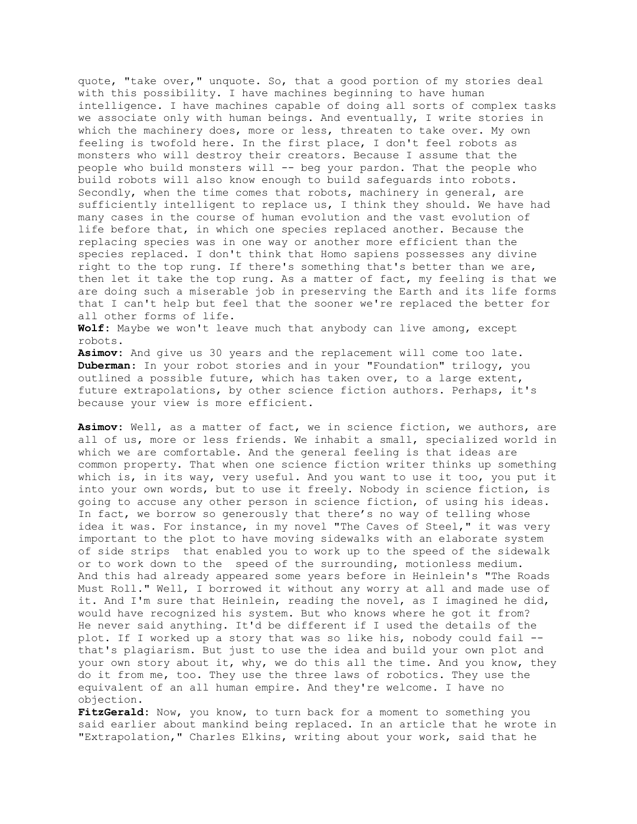quote, "take over," unquote. So, that a good portion of my stories deal with this possibility. I have machines beginning to have human intelligence. I have machines capable of doing all sorts of complex tasks we associate only with human beings. And eventually, I write stories in which the machinery does, more or less, threaten to take over. My own feeling is twofold here. In the first place, I don't feel robots as monsters who will destroy their creators. Because I assume that the people who build monsters will -- beg your pardon. That the people who build robots will also know enough to build safeguards into robots. Secondly, when the time comes that robots, machinery in general, are sufficiently intelligent to replace us, I think they should. We have had many cases in the course of human evolution and the vast evolution of life before that, in which one species replaced another. Because the replacing species was in one way or another more efficient than the species replaced. I don't think that Homo sapiens possesses any divine right to the top rung. If there's something that's better than we are, then let it take the top rung. As a matter of fact, my feeling is that we are doing such a miserable job in preserving the Earth and its life forms that I can't help but feel that the sooner we're replaced the better for all other forms of life.

**Wolf:** Maybe we won't leave much that anybody can live among, except robots.

**Asimov:** And give us 30 years and the replacement will come too late. **Duberman**: In your robot stories and in your "Foundation" trilogy, you outlined a possible future, which has taken over, to a large extent, future extrapolations, by other science fiction authors. Perhaps, it's because your view is more efficient.

**Asimov:** Well, as a matter of fact, we in science fiction, we authors, are all of us, more or less friends. We inhabit a small, specialized world in which we are comfortable. And the general feeling is that ideas are common property. That when one science fiction writer thinks up something which is, in its way, very useful. And you want to use it too, you put it into your own words, but to use it freely. Nobody in science fiction, is going to accuse any other person in science fiction, of using his ideas. In fact, we borrow so generously that there's no way of telling whose idea it was. For instance, in my novel "The Caves of Steel," it was very important to the plot to have moving sidewalks with an elaborate system of side strips that enabled you to work up to the speed of the sidewalk or to work down to the speed of the surrounding, motionless medium. And this had already appeared some years before in Heinlein's "The Roads Must Roll." Well, I borrowed it without any worry at all and made use of it. And I'm sure that Heinlein, reading the novel, as I imagined he did, would have recognized his system. But who knows where he got it from? He never said anything. It'd be different if I used the details of the plot. If I worked up a story that was so like his, nobody could fail - that's plagiarism. But just to use the idea and build your own plot and your own story about it, why, we do this all the time. And you know, they do it from me, too. They use the three laws of robotics. They use the equivalent of an all human empire. And they're welcome. I have no objection.

**FitzGerald:** Now, you know, to turn back for a moment to something you said earlier about mankind being replaced. In an article that he wrote in "Extrapolation," Charles Elkins, writing about your work, said that he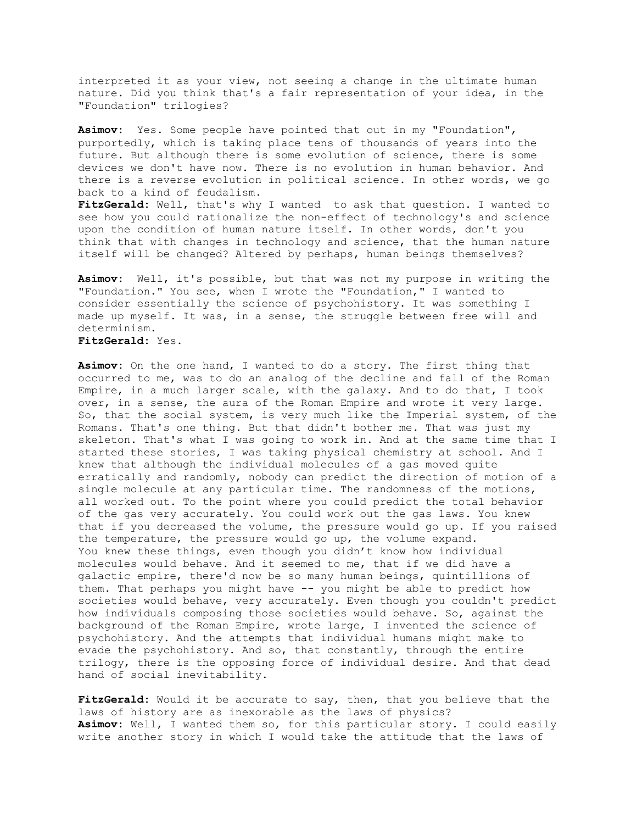interpreted it as your view, not seeing a change in the ultimate human nature. Did you think that's a fair representation of your idea, in the "Foundation" trilogies?

**Asimov:** Yes. Some people have pointed that out in my "Foundation", purportedly, which is taking place tens of thousands of years into the future. But although there is some evolution of science, there is some devices we don't have now. There is no evolution in human behavior. And there is a reverse evolution in political science. In other words, we go back to a kind of feudalism.

**FitzGerald:** Well, that's why I wanted to ask that question. I wanted to see how you could rationalize the non-effect of technology's and science upon the condition of human nature itself. In other words, don't you think that with changes in technology and science, that the human nature itself will be changed? Altered by perhaps, human beings themselves?

**Asimov:** Well, it's possible, but that was not my purpose in writing the "Foundation." You see, when I wrote the "Foundation," I wanted to consider essentially the science of psychohistory. It was something I made up myself. It was, in a sense, the struggle between free will and determinism.

**FitzGerald:** Yes.

**Asimov:** On the one hand, I wanted to do a story. The first thing that occurred to me, was to do an analog of the decline and fall of the Roman Empire, in a much larger scale, with the galaxy. And to do that, I took over, in a sense, the aura of the Roman Empire and wrote it very large. So, that the social system, is very much like the Imperial system, of the Romans. That's one thing. But that didn't bother me. That was just my skeleton. That's what I was going to work in. And at the same time that I started these stories, I was taking physical chemistry at school. And I knew that although the individual molecules of a gas moved quite erratically and randomly, nobody can predict the direction of motion of a single molecule at any particular time. The randomness of the motions, all worked out. To the point where you could predict the total behavior of the gas very accurately. You could work out the gas laws. You knew that if you decreased the volume, the pressure would go up. If you raised the temperature, the pressure would go up, the volume expand. You knew these things, even though you didn't know how individual molecules would behave. And it seemed to me, that if we did have a galactic empire, there'd now be so many human beings, quintillions of them. That perhaps you might have -- you might be able to predict how societies would behave, very accurately. Even though you couldn't predict how individuals composing those societies would behave. So, against the background of the Roman Empire, wrote large, I invented the science of psychohistory. And the attempts that individual humans might make to evade the psychohistory. And so, that constantly, through the entire trilogy, there is the opposing force of individual desire. And that dead hand of social inevitability.

**FitzGerald:** Would it be accurate to say, then, that you believe that the laws of history are as inexorable as the laws of physics? **Asimov:** Well, I wanted them so, for this particular story. I could easily write another story in which I would take the attitude that the laws of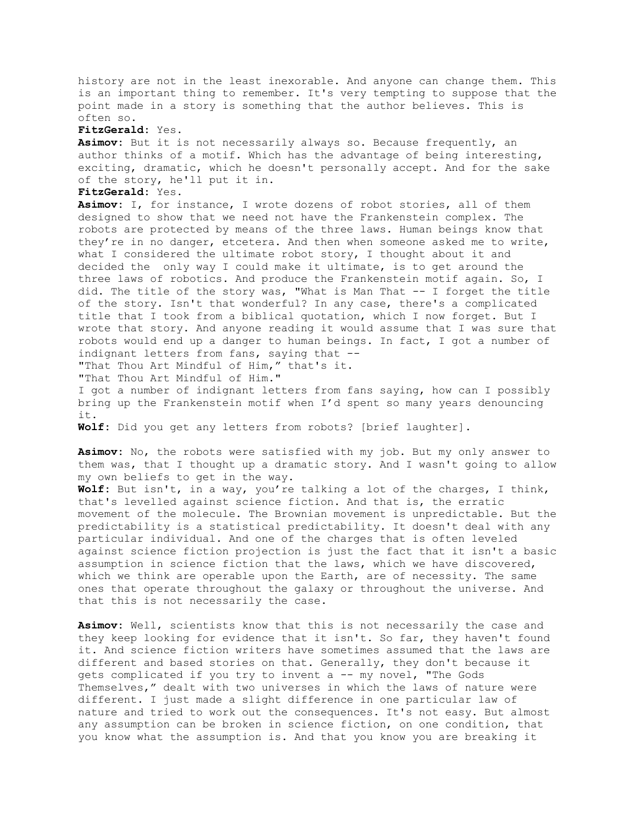history are not in the least inexorable. And anyone can change them. This is an important thing to remember. It's very tempting to suppose that the point made in a story is something that the author believes. This is often so.

## **FitzGerald:** Yes.

**Asimov:** But it is not necessarily always so. Because frequently, an author thinks of a motif. Which has the advantage of being interesting, exciting, dramatic, which he doesn't personally accept. And for the sake of the story, he'll put it in.

## **FitzGerald:** Yes.

**Asimov:** I, for instance, I wrote dozens of robot stories, all of them designed to show that we need not have the Frankenstein complex. The robots are protected by means of the three laws. Human beings know that they're in no danger, etcetera. And then when someone asked me to write, what I considered the ultimate robot story, I thought about it and decided the only way I could make it ultimate, is to get around the three laws of robotics. And produce the Frankenstein motif again. So, I did. The title of the story was, "What is Man That -- I forget the title of the story. Isn't that wonderful? In any case, there's a complicated title that I took from a biblical quotation, which I now forget. But I wrote that story. And anyone reading it would assume that I was sure that robots would end up a danger to human beings. In fact, I got a number of indignant letters from fans, saying that --

"That Thou Art Mindful of Him," that's it.

"That Thou Art Mindful of Him."

I got a number of indignant letters from fans saying, how can I possibly bring up the Frankenstein motif when I'd spent so many years denouncing it.

**Wolf:** Did you get any letters from robots? [brief laughter].

**Asimov:** No, the robots were satisfied with my job. But my only answer to them was, that I thought up a dramatic story. And I wasn't going to allow my own beliefs to get in the way.

**Wolf:** But isn't, in a way, you're talking a lot of the charges, I think, that's levelled against science fiction. And that is, the erratic movement of the molecule. The Brownian movement is unpredictable. But the predictability is a statistical predictability. It doesn't deal with any particular individual. And one of the charges that is often leveled against science fiction projection is just the fact that it isn't a basic assumption in science fiction that the laws, which we have discovered, which we think are operable upon the Earth, are of necessity. The same ones that operate throughout the galaxy or throughout the universe. And that this is not necessarily the case.

**Asimov:** Well, scientists know that this is not necessarily the case and they keep looking for evidence that it isn't. So far, they haven't found it. And science fiction writers have sometimes assumed that the laws are different and based stories on that. Generally, they don't because it gets complicated if you try to invent a -- my novel, "The Gods Themselves," dealt with two universes in which the laws of nature were different. I just made a slight difference in one particular law of nature and tried to work out the consequences. It's not easy. But almost any assumption can be broken in science fiction, on one condition, that you know what the assumption is. And that you know you are breaking it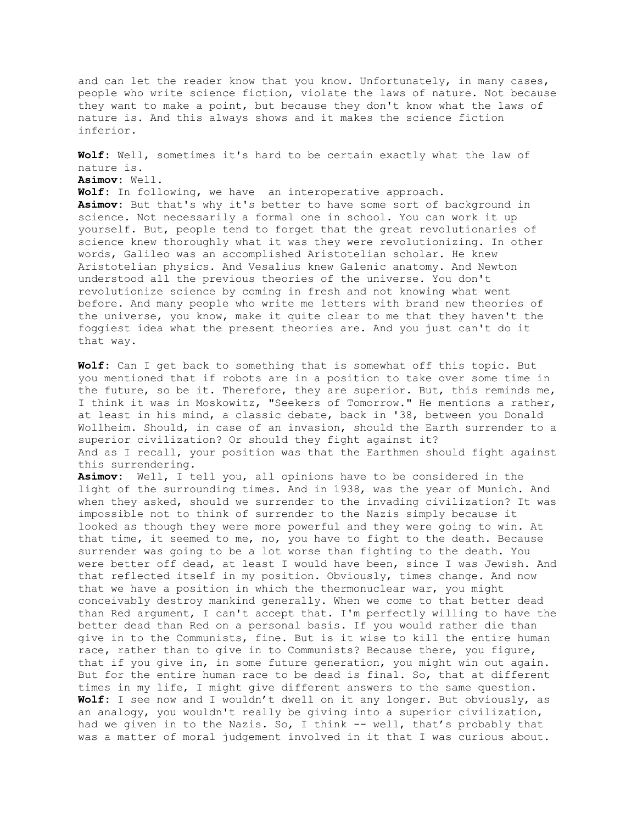and can let the reader know that you know. Unfortunately, in many cases, people who write science fiction, violate the laws of nature. Not because they want to make a point, but because they don't know what the laws of nature is. And this always shows and it makes the science fiction inferior. **Wolf:** Well, sometimes it's hard to be certain exactly what the law of nature is. **Asimov:** Well. **Wolf:** In following, we have an interoperative approach. **Asimov:** But that's why it's better to have some sort of background in science. Not necessarily a formal one in school. You can work it up yourself. But, people tend to forget that the great revolutionaries of science knew thoroughly what it was they were revolutionizing. In other words, Galileo was an accomplished Aristotelian scholar. He knew Aristotelian physics. And Vesalius knew Galenic anatomy. And Newton understood all the previous theories of the universe. You don't revolutionize science by coming in fresh and not knowing what went before. And many people who write me letters with brand new theories of the universe, you know, make it quite clear to me that they haven't the foggiest idea what the present theories are. And you just can't do it that way. **Wolf:** Can I get back to something that is somewhat off this topic. But you mentioned that if robots are in a position to take over some time in the future, so be it. Therefore, they are superior. But, this reminds me, I think it was in Moskowitz, "Seekers of Tomorrow." He mentions a rather, at least in his mind, a classic debate, back in '38, between you Donald Wollheim. Should, in case of an invasion, should the Earth surrender to a superior civilization? Or should they fight against it? And as I recall, your position was that the Earthmen should fight against this surrendering. **Asimov:** Well, I tell you, all opinions have to be considered in the light of the surrounding times. And in 1938, was the year of Munich. And when they asked, should we surrender to the invading civilization? It was impossible not to think of surrender to the Nazis simply because it looked as though they were more powerful and they were going to win. At that time, it seemed to me, no, you have to fight to the death. Because surrender was going to be a lot worse than fighting to the death. You were better off dead, at least I would have been, since I was Jewish. And that reflected itself in my position. Obviously, times change. And now that we have a position in which the thermonuclear war, you might conceivably destroy mankind generally. When we come to that better dead than Red argument, I can't accept that. I'm perfectly willing to have the better dead than Red on a personal basis. If you would rather die than give in to the Communists, fine. But is it wise to kill the entire human race, rather than to give in to Communists? Because there, you figure, that if you give in, in some future generation, you might win out again. But for the entire human race to be dead is final. So, that at different times in my life, I might give different answers to the same question. **Wolf:** I see now and I wouldn't dwell on it any longer. But obviously, as an analogy, you wouldn't really be giving into a superior civilization, had we given in to the Nazis. So, I think -- well, that's probably that was a matter of moral judgement involved in it that I was curious about.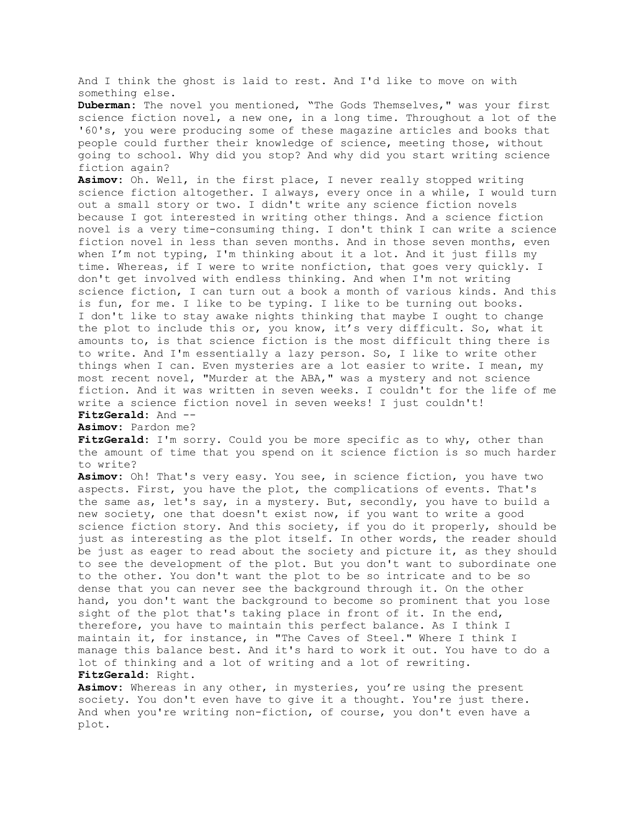And I think the ghost is laid to rest. And I'd like to move on with something else.

**Duberman:** The novel you mentioned, "The Gods Themselves," was your first science fiction novel, a new one, in a long time. Throughout a lot of the '60's, you were producing some of these magazine articles and books that people could further their knowledge of science, meeting those, without going to school. Why did you stop? And why did you start writing science fiction again?

**Asimov:** Oh. Well, in the first place, I never really stopped writing science fiction altogether. I always, every once in a while, I would turn out a small story or two. I didn't write any science fiction novels because I got interested in writing other things. And a science fiction novel is a very time-consuming thing. I don't think I can write a science fiction novel in less than seven months. And in those seven months, even when I'm not typing, I'm thinking about it a lot. And it just fills my time. Whereas, if I were to write nonfiction, that goes very quickly. I don't get involved with endless thinking. And when I'm not writing science fiction, I can turn out a book a month of various kinds. And this is fun, for me. I like to be typing. I like to be turning out books. I don't like to stay awake nights thinking that maybe I ought to change the plot to include this or, you know, it's very difficult. So, what it amounts to, is that science fiction is the most difficult thing there is to write. And I'm essentially a lazy person. So, I like to write other things when I can. Even mysteries are a lot easier to write. I mean, my most recent novel, "Murder at the ABA," was a mystery and not science fiction. And it was written in seven weeks. I couldn't for the life of me write a science fiction novel in seven weeks! I just couldn't! **FitzGerald:** And --

**Asimov:** Pardon me?

**FitzGerald:** I'm sorry. Could you be more specific as to why, other than the amount of time that you spend on it science fiction is so much harder to write?

**Asimov:** Oh! That's very easy. You see, in science fiction, you have two aspects. First, you have the plot, the complications of events. That's the same as, let's say, in a mystery. But, secondly, you have to build a new society, one that doesn't exist now, if you want to write a good science fiction story. And this society, if you do it properly, should be just as interesting as the plot itself. In other words, the reader should be just as eager to read about the society and picture it, as they should to see the development of the plot. But you don't want to subordinate one to the other. You don't want the plot to be so intricate and to be so dense that you can never see the background through it. On the other hand, you don't want the background to become so prominent that you lose sight of the plot that's taking place in front of it. In the end, therefore, you have to maintain this perfect balance. As I think I maintain it, for instance, in "The Caves of Steel." Where I think I manage this balance best. And it's hard to work it out. You have to do a lot of thinking and a lot of writing and a lot of rewriting. **FitzGerald:** Right.

**Asimov:** Whereas in any other, in mysteries, you're using the present society. You don't even have to give it a thought. You're just there. And when you're writing non-fiction, of course, you don't even have a plot.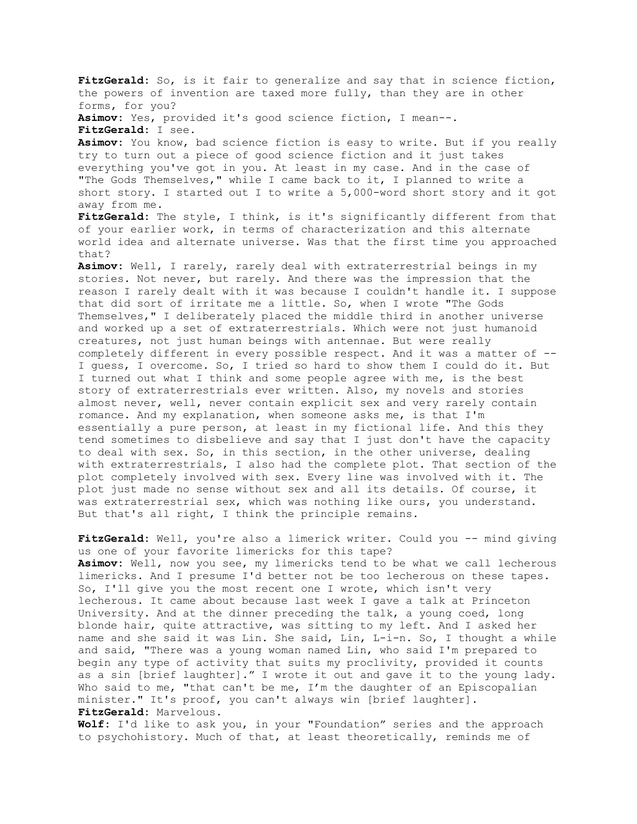**FitzGerald:** So, is it fair to generalize and say that in science fiction, the powers of invention are taxed more fully, than they are in other forms, for you? **Asimov:** Yes, provided it's good science fiction, I mean--. **FitzGerald:** I see. **Asimov:** You know, bad science fiction is easy to write. But if you really try to turn out a piece of good science fiction and it just takes everything you've got in you. At least in my case. And in the case of "The Gods Themselves," while I came back to it, I planned to write a short story. I started out I to write a 5,000-word short story and it got away from me. **FitzGerald:** The style, I think, is it's significantly different from that of your earlier work, in terms of characterization and this alternate world idea and alternate universe. Was that the first time you approached that? **Asimov:** Well, I rarely, rarely deal with extraterrestrial beings in my stories. Not never, but rarely. And there was the impression that the reason I rarely dealt with it was because I couldn't handle it. I suppose that did sort of irritate me a little. So, when I wrote "The Gods Themselves," I deliberately placed the middle third in another universe and worked up a set of extraterrestrials. Which were not just humanoid creatures, not just human beings with antennae. But were really completely different in every possible respect. And it was a matter of -- I guess, I overcome. So, I tried so hard to show them I could do it. But I turned out what I think and some people agree with me, is the best story of extraterrestrials ever written. Also, my novels and stories almost never, well, never contain explicit sex and very rarely contain romance. And my explanation, when someone asks me, is that I'm essentially a pure person, at least in my fictional life. And this they tend sometimes to disbelieve and say that I just don't have the capacity to deal with sex. So, in this section, in the other universe, dealing with extraterrestrials, I also had the complete plot. That section of the plot completely involved with sex. Every line was involved with it. The plot just made no sense without sex and all its details. Of course, it was extraterrestrial sex, which was nothing like ours, you understand. But that's all right, I think the principle remains.

FitzGerald: Well, you're also a limerick writer. Could you -- mind giving us one of your favorite limericks for this tape? **Asimov:** Well, now you see, my limericks tend to be what we call lecherous limericks. And I presume I'd better not be too lecherous on these tapes. So, I'll give you the most recent one I wrote, which isn't very lecherous. It came about because last week I gave a talk at Princeton University. And at the dinner preceding the talk, a young coed, long blonde hair, quite attractive, was sitting to my left. And I asked her name and she said it was Lin. She said, Lin, L-i-n. So, I thought a while and said, "There was a young woman named Lin, who said I'm prepared to begin any type of activity that suits my proclivity, provided it counts as a sin [brief laughter]." I wrote it out and gave it to the young lady. Who said to me, "that can't be me, I'm the daughter of an Episcopalian minister." It's proof, you can't always win [brief laughter]. **FitzGerald:** Marvelous.

**Wolf:** I'd like to ask you, in your "Foundation" series and the approach to psychohistory. Much of that, at least theoretically, reminds me of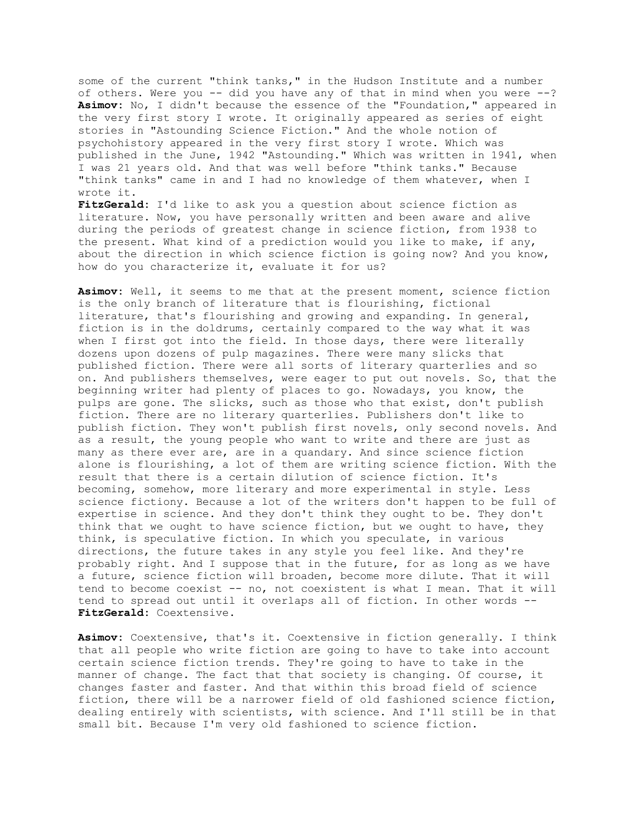some of the current "think tanks," in the Hudson Institute and a number of others. Were you -- did you have any of that in mind when you were --? **Asimov:** No, I didn't because the essence of the "Foundation," appeared in the very first story I wrote. It originally appeared as series of eight stories in "Astounding Science Fiction." And the whole notion of psychohistory appeared in the very first story I wrote. Which was published in the June, 1942 "Astounding." Which was written in 1941, when I was 21 years old. And that was well before "think tanks." Because "think tanks" came in and I had no knowledge of them whatever, when I wrote it.

**FitzGerald:** I'd like to ask you a question about science fiction as literature. Now, you have personally written and been aware and alive during the periods of greatest change in science fiction, from 1938 to the present. What kind of a prediction would you like to make, if any, about the direction in which science fiction is going now? And you know, how do you characterize it, evaluate it for us?

**Asimov:** Well, it seems to me that at the present moment, science fiction is the only branch of literature that is flourishing, fictional literature, that's flourishing and growing and expanding. In general, fiction is in the doldrums, certainly compared to the way what it was when I first got into the field. In those days, there were literally dozens upon dozens of pulp magazines. There were many slicks that published fiction. There were all sorts of literary quarterlies and so on. And publishers themselves, were eager to put out novels. So, that the beginning writer had plenty of places to go. Nowadays, you know, the pulps are gone. The slicks, such as those who that exist, don't publish fiction. There are no literary quarterlies. Publishers don't like to publish fiction. They won't publish first novels, only second novels. And as a result, the young people who want to write and there are just as many as there ever are, are in a quandary. And since science fiction alone is flourishing, a lot of them are writing science fiction. With the result that there is a certain dilution of science fiction. It's becoming, somehow, more literary and more experimental in style. Less science fictiony. Because a lot of the writers don't happen to be full of expertise in science. And they don't think they ought to be. They don't think that we ought to have science fiction, but we ought to have, they think, is speculative fiction. In which you speculate, in various directions, the future takes in any style you feel like. And they're probably right. And I suppose that in the future, for as long as we have a future, science fiction will broaden, become more dilute. That it will tend to become coexist -- no, not coexistent is what I mean. That it will tend to spread out until it overlaps all of fiction. In other words -- **FitzGerald:** Coextensive.

**Asimov:** Coextensive, that's it. Coextensive in fiction generally. I think that all people who write fiction are going to have to take into account certain science fiction trends. They're going to have to take in the manner of change. The fact that that society is changing. Of course, it changes faster and faster. And that within this broad field of science fiction, there will be a narrower field of old fashioned science fiction, dealing entirely with scientists, with science. And I'll still be in that small bit. Because I'm very old fashioned to science fiction.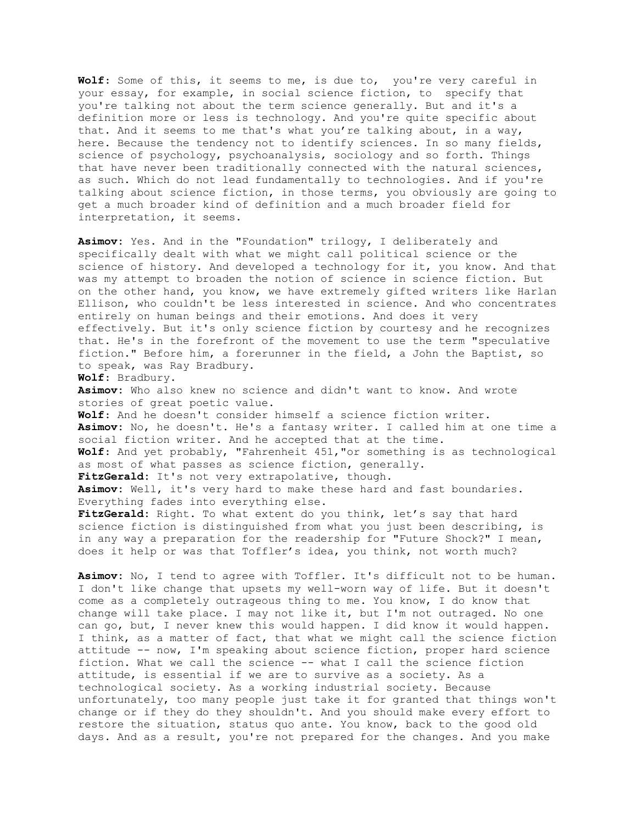**Wolf**: Some of this, it seems to me, is due to, you're very careful in your essay, for example, in social science fiction, to specify that you're talking not about the term science generally. But and it's a definition more or less is technology. And you're quite specific about that. And it seems to me that's what you're talking about, in a way, here. Because the tendency not to identify sciences. In so many fields, science of psychology, psychoanalysis, sociology and so forth. Things that have never been traditionally connected with the natural sciences, as such. Which do not lead fundamentally to technologies. And if you're talking about science fiction, in those terms, you obviously are going to get a much broader kind of definition and a much broader field for interpretation, it seems.

**Asimov:** Yes. And in the "Foundation" trilogy, I deliberately and specifically dealt with what we might call political science or the science of history. And developed a technology for it, you know. And that was my attempt to broaden the notion of science in science fiction. But on the other hand, you know, we have extremely gifted writers like Harlan Ellison, who couldn't be less interested in science. And who concentrates entirely on human beings and their emotions. And does it very effectively. But it's only science fiction by courtesy and he recognizes that. He's in the forefront of the movement to use the term "speculative fiction." Before him, a forerunner in the field, a John the Baptist, so to speak, was Ray Bradbury. **Wolf**: Bradbury. **Asimov:** Who also knew no science and didn't want to know. And wrote stories of great poetic value. **Wolf**: And he doesn't consider himself a science fiction writer. **Asimov:** No, he doesn't. He's a fantasy writer. I called him at one time a social fiction writer. And he accepted that at the time. **Wolf**: And yet probably, "Fahrenheit 451,"or something is as technological as most of what passes as science fiction, generally. FitzGerald: It's not very extrapolative, though. **Asimov:** Well, it's very hard to make these hard and fast boundaries. Everything fades into everything else. FitzGerald: Right. To what extent do you think, let's say that hard

science fiction is distinguished from what you just been describing, is in any way a preparation for the readership for "Future Shock?" I mean, does it help or was that Toffler's idea, you think, not worth much?

**Asimov:** No, I tend to agree with Toffler. It's difficult not to be human. I don't like change that upsets my well-worn way of life. But it doesn't come as a completely outrageous thing to me. You know, I do know that change will take place. I may not like it, but I'm not outraged. No one can go, but, I never knew this would happen. I did know it would happen. I think, as a matter of fact, that what we might call the science fiction attitude -- now, I'm speaking about science fiction, proper hard science fiction. What we call the science -- what I call the science fiction attitude, is essential if we are to survive as a society. As a technological society. As a working industrial society. Because unfortunately, too many people just take it for granted that things won't change or if they do they shouldn't. And you should make every effort to restore the situation, status quo ante. You know, back to the good old days. And as a result, you're not prepared for the changes. And you make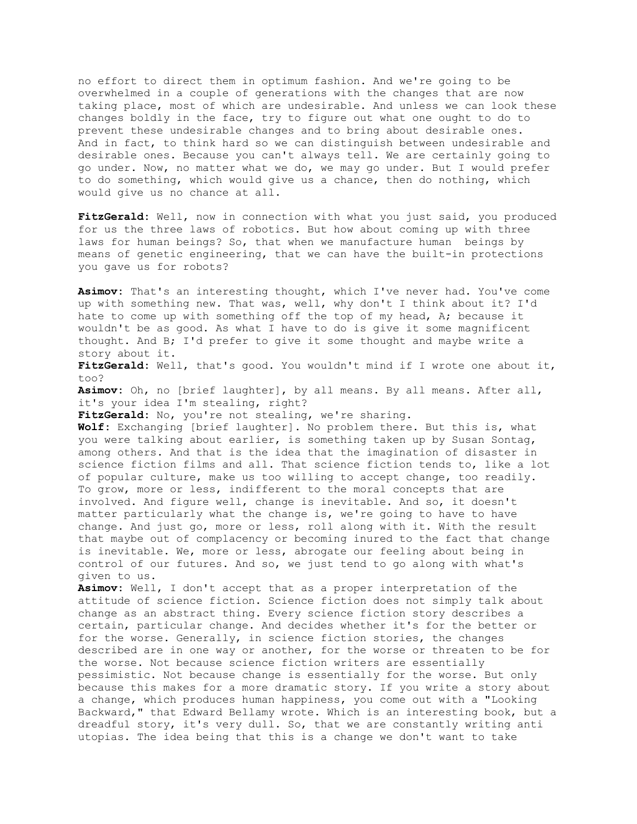no effort to direct them in optimum fashion. And we're going to be overwhelmed in a couple of generations with the changes that are now taking place, most of which are undesirable. And unless we can look these changes boldly in the face, try to figure out what one ought to do to prevent these undesirable changes and to bring about desirable ones. And in fact, to think hard so we can distinguish between undesirable and desirable ones. Because you can't always tell. We are certainly going to go under. Now, no matter what we do, we may go under. But I would prefer to do something, which would give us a chance, then do nothing, which would give us no chance at all.

**FitzGerald:** Well, now in connection with what you just said, you produced for us the three laws of robotics. But how about coming up with three laws for human beings? So, that when we manufacture human beings by means of genetic engineering, that we can have the built-in protections you gave us for robots?

**Asimov:** That's an interesting thought, which I've never had. You've come up with something new. That was, well, why don't I think about it? I'd hate to come up with something off the top of my head, A; because it wouldn't be as good. As what I have to do is give it some magnificent thought. And B; I'd prefer to give it some thought and maybe write a story about it.

**FitzGerald:** Well, that's good. You wouldn't mind if I wrote one about it, too?

**Asimov:** Oh, no [brief laughter], by all means. By all means. After all, it's your idea I'm stealing, right?

**FitzGerald:** No, you're not stealing, we're sharing.

**Wolf:** Exchanging [brief laughter]. No problem there. But this is, what you were talking about earlier, is something taken up by Susan Sontag, among others. And that is the idea that the imagination of disaster in science fiction films and all. That science fiction tends to, like a lot of popular culture, make us too willing to accept change, too readily. To grow, more or less, indifferent to the moral concepts that are involved. And figure well, change is inevitable. And so, it doesn't matter particularly what the change is, we're going to have to have change. And just go, more or less, roll along with it. With the result that maybe out of complacency or becoming inured to the fact that change is inevitable. We, more or less, abrogate our feeling about being in control of our futures. And so, we just tend to go along with what's given to us.

**Asimov:** Well, I don't accept that as a proper interpretation of the attitude of science fiction. Science fiction does not simply talk about change as an abstract thing. Every science fiction story describes a certain, particular change. And decides whether it's for the better or for the worse. Generally, in science fiction stories, the changes described are in one way or another, for the worse or threaten to be for the worse. Not because science fiction writers are essentially pessimistic. Not because change is essentially for the worse. But only because this makes for a more dramatic story. If you write a story about a change, which produces human happiness, you come out with a "Looking Backward," that Edward Bellamy wrote. Which is an interesting book, but a dreadful story, it's very dull. So, that we are constantly writing anti utopias. The idea being that this is a change we don't want to take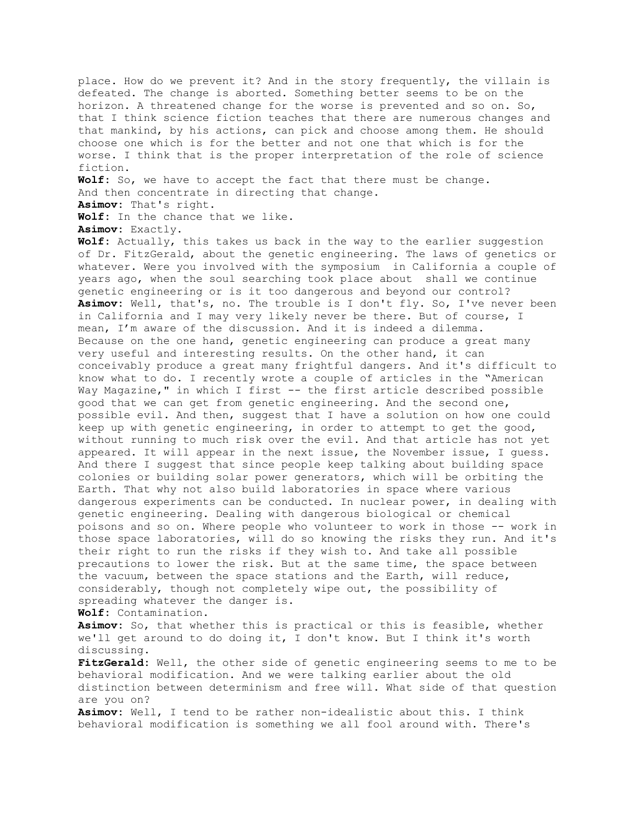place. How do we prevent it? And in the story frequently, the villain is defeated. The change is aborted. Something better seems to be on the horizon. A threatened change for the worse is prevented and so on. So, that I think science fiction teaches that there are numerous changes and that mankind, by his actions, can pick and choose among them. He should choose one which is for the better and not one that which is for the worse. I think that is the proper interpretation of the role of science fiction.

**Wolf:** So, we have to accept the fact that there must be change. And then concentrate in directing that change. **Asimov:** That's right.

**Wolf:** In the chance that we like.

**Asimov:** Exactly.

**Wolf:** Actually, this takes us back in the way to the earlier suggestion of Dr. FitzGerald, about the genetic engineering. The laws of genetics or whatever. Were you involved with the symposium in California a couple of years ago, when the soul searching took place about shall we continue genetic engineering or is it too dangerous and beyond our control? **Asimov:** Well, that's, no. The trouble is I don't fly. So, I've never been in California and I may very likely never be there. But of course, I mean, I'm aware of the discussion. And it is indeed a dilemma. Because on the one hand, genetic engineering can produce a great many very useful and interesting results. On the other hand, it can conceivably produce a great many frightful dangers. And it's difficult to know what to do. I recently wrote a couple of articles in the "American Way Magazine," in which I first -- the first article described possible good that we can get from genetic engineering. And the second one, possible evil. And then, suggest that I have a solution on how one could keep up with genetic engineering, in order to attempt to get the good, without running to much risk over the evil. And that article has not yet appeared. It will appear in the next issue, the November issue, I guess. And there I suggest that since people keep talking about building space colonies or building solar power generators, which will be orbiting the Earth. That why not also build laboratories in space where various dangerous experiments can be conducted. In nuclear power, in dealing with genetic engineering. Dealing with dangerous biological or chemical poisons and so on. Where people who volunteer to work in those -- work in those space laboratories, will do so knowing the risks they run. And it's their right to run the risks if they wish to. And take all possible precautions to lower the risk. But at the same time, the space between the vacuum, between the space stations and the Earth, will reduce, considerably, though not completely wipe out, the possibility of spreading whatever the danger is.

**Wolf:** Contamination.

**Asimov:** So, that whether this is practical or this is feasible, whether we'll get around to do doing it, I don't know. But I think it's worth discussing.

**FitzGerald:** Well, the other side of genetic engineering seems to me to be behavioral modification. And we were talking earlier about the old distinction between determinism and free will. What side of that question are you on?

**Asimov:** Well, I tend to be rather non-idealistic about this. I think behavioral modification is something we all fool around with. There's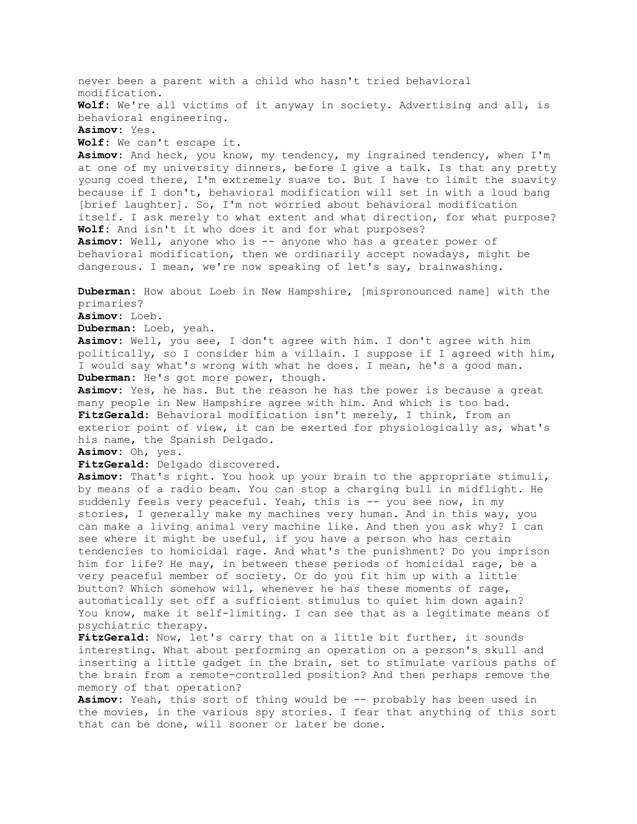never been a parent with a child who hasn't tried behavioral modification. **Wolf:** We're all victims of it anyway in society. Advertising and all, is behavioral engineering. **Asimov:** Yes. **Wolf:** We can't escape it. **Asimov:** And heck, you know, my tendency, my ingrained tendency, when I'm at one of my university dinners, before I give a talk. Is that any pretty young coed there, I'm extremely suave to. But I have to limit the suavity because if I don't, behavioral modification will set in with a loud bang [brief laughter]. So, I'm not worried about behavioral modification itself. I ask merely to what extent and what direction, for what purpose? **Wolf:** And isn't it who does it and for what purposes? **Asimov:** Well, anyone who is -- anyone who has a greater power of behavioral modification, then we ordinarily accept nowadays, might be dangerous. I mean, we're now speaking of let's say, brainwashing. **Duberman:** How about Loeb in New Hampshire, [mispronounced name] with the primaries? **Asimov:** Loeb. **Duberman:** Loeb, yeah. **Asimov:** Well, you see, I don't agree with him. I don't agree with him politically, so I consider him a villain. I suppose if I agreed with him, I would say what's wrong with what he does. I mean, he's a good man. **Duberman:** He's got more power, though. **Asimov:** Yes, he has. But the reason he has the power is because a great many people in New Hampshire agree with him. And which is too bad. **FitzGerald:** Behavioral modification isn't merely, I think, from an exterior point of view, it can be exerted for physiologically as, what's his name, the Spanish Delgado. **Asimov:** Oh, yes. **FitzGerald:** Delgado discovered. **Asimov:** That's right. You hook up your brain to the appropriate stimuli, by means of a radio beam. You can stop a charging bull in midflight. He suddenly feels very peaceful. Yeah, this is -- you see now, in my stories, I generally make my machines very human. And in this way, you can make a living animal very machine like. And then you ask why? I can see where it might be useful, if you have a person who has certain tendencies to homicidal rage. And what's the punishment? Do you imprison him for life? He may, in between these periods of homicidal rage, be a very peaceful member of society. Or do you fit him up with a little button? Which somehow will, whenever he has these moments of rage, automatically set off a sufficient stimulus to quiet him down again? You know, make it self-limiting. I can see that as a legitimate means of psychiatric therapy. FitzGerald: Now, let's carry that on a little bit further, it sounds interesting. What about performing an operation on a person's skull and inserting a little gadget in the brain, set to stimulate various paths of the brain from a remote-controlled position? And then perhaps remove the memory of that operation? Asimov: Yeah, this sort of thing would be -- probably has been used in the movies, in the various spy stories. I fear that anything of this sort that can be done, will sooner or later be done.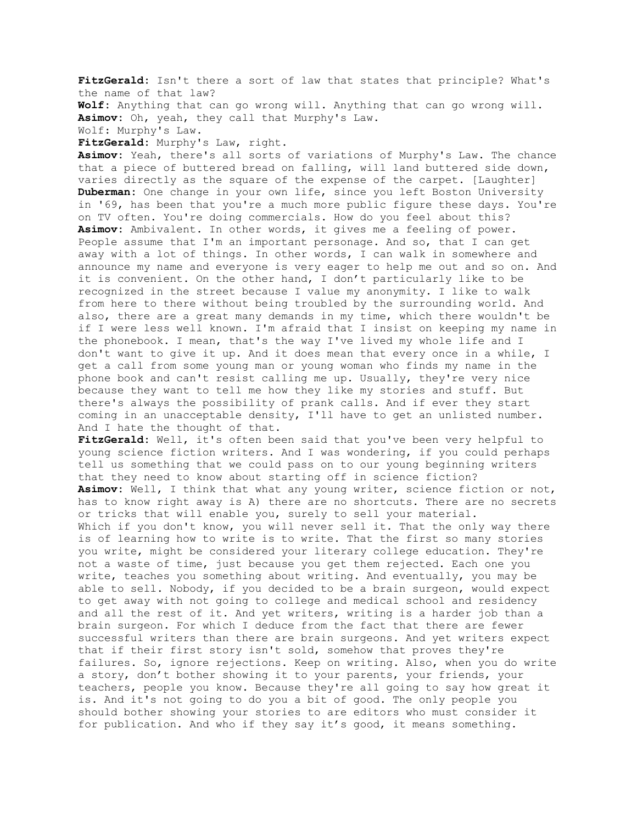**FitzGerald:** Isn't there a sort of law that states that principle? What's the name of that law? **Wolf:** Anything that can go wrong will. Anything that can go wrong will. **Asimov:** Oh, yeah, they call that Murphy's Law. Wolf: Murphy's Law.

**FitzGerald:** Murphy's Law, right.

**Asimov:** Yeah, there's all sorts of variations of Murphy's Law. The chance that a piece of buttered bread on falling, will land buttered side down, varies directly as the square of the expense of the carpet. [Laughter] **Duberman:** One change in your own life, since you left Boston University in '69, has been that you're a much more public figure these days. You're on TV often. You're doing commercials. How do you feel about this? **Asimov:** Ambivalent. In other words, it gives me a feeling of power. People assume that I'm an important personage. And so, that I can get away with a lot of things. In other words, I can walk in somewhere and announce my name and everyone is very eager to help me out and so on. And it is convenient. On the other hand, I don't particularly like to be recognized in the street because I value my anonymity. I like to walk from here to there without being troubled by the surrounding world. And also, there are a great many demands in my time, which there wouldn't be if I were less well known. I'm afraid that I insist on keeping my name in the phonebook. I mean, that's the way I've lived my whole life and I don't want to give it up. And it does mean that every once in a while, I get a call from some young man or young woman who finds my name in the phone book and can't resist calling me up. Usually, they're very nice because they want to tell me how they like my stories and stuff. But there's always the possibility of prank calls. And if ever they start coming in an unacceptable density, I'll have to get an unlisted number. And I hate the thought of that.

**FitzGerald:** Well, it's often been said that you've been very helpful to young science fiction writers. And I was wondering, if you could perhaps tell us something that we could pass on to our young beginning writers that they need to know about starting off in science fiction? **Asimov:** Well, I think that what any young writer, science fiction or not, has to know right away is A) there are no shortcuts. There are no secrets or tricks that will enable you, surely to sell your material. Which if you don't know, you will never sell it. That the only way there is of learning how to write is to write. That the first so many stories you write, might be considered your literary college education. They're not a waste of time, just because you get them rejected. Each one you write, teaches you something about writing. And eventually, you may be able to sell. Nobody, if you decided to be a brain surgeon, would expect to get away with not going to college and medical school and residency and all the rest of it. And yet writers, writing is a harder job than a brain surgeon. For which I deduce from the fact that there are fewer successful writers than there are brain surgeons. And yet writers expect that if their first story isn't sold, somehow that proves they're failures. So, ignore rejections. Keep on writing. Also, when you do write a story, don't bother showing it to your parents, your friends, your teachers, people you know. Because they're all going to say how great it is. And it's not going to do you a bit of good. The only people you should bother showing your stories to are editors who must consider it for publication. And who if they say it's good, it means something.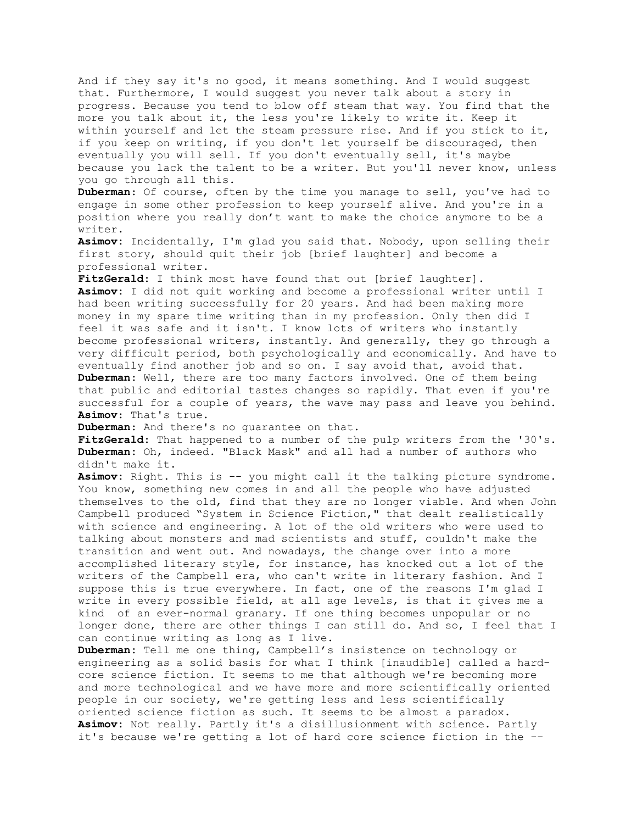And if they say it's no good, it means something. And I would suggest that. Furthermore, I would suggest you never talk about a story in progress. Because you tend to blow off steam that way. You find that the more you talk about it, the less you're likely to write it. Keep it within yourself and let the steam pressure rise. And if you stick to it, if you keep on writing, if you don't let yourself be discouraged, then eventually you will sell. If you don't eventually sell, it's maybe because you lack the talent to be a writer. But you'll never know, unless you go through all this.

**Duberman**: Of course, often by the time you manage to sell, you've had to engage in some other profession to keep yourself alive. And you're in a position where you really don't want to make the choice anymore to be a writer.

**Asimov:** Incidentally, I'm glad you said that. Nobody, upon selling their first story, should quit their job [brief laughter] and become a professional writer.

**FitzGerald**: I think most have found that out [brief laughter]. **Asimov:** I did not quit working and become a professional writer until I had been writing successfully for 20 years. And had been making more money in my spare time writing than in my profession. Only then did I feel it was safe and it isn't. I know lots of writers who instantly become professional writers, instantly. And generally, they go through a very difficult period, both psychologically and economically. And have to eventually find another job and so on. I say avoid that, avoid that. **Duberman**: Well, there are too many factors involved. One of them being that public and editorial tastes changes so rapidly. That even if you're successful for a couple of years, the wave may pass and leave you behind. **Asimov**: That's true.

**Duberman**: And there's no guarantee on that.

**FitzGerald**: That happened to a number of the pulp writers from the '30's. **Duberman:** Oh, indeed. "Black Mask" and all had a number of authors who didn't make it.

**Asimov:** Right. This is -- you might call it the talking picture syndrome. You know, something new comes in and all the people who have adjusted themselves to the old, find that they are no longer viable. And when John Campbell produced "System in Science Fiction," that dealt realistically with science and engineering. A lot of the old writers who were used to talking about monsters and mad scientists and stuff, couldn't make the transition and went out. And nowadays, the change over into a more accomplished literary style, for instance, has knocked out a lot of the writers of the Campbell era, who can't write in literary fashion. And I suppose this is true everywhere. In fact, one of the reasons I'm glad I write in every possible field, at all age levels, is that it gives me a kind of an ever-normal granary. If one thing becomes unpopular or no longer done, there are other things I can still do. And so, I feel that I can continue writing as long as I live.

**Duberman:** Tell me one thing, Campbell's insistence on technology or engineering as a solid basis for what I think [inaudible] called a hardcore science fiction. It seems to me that although we're becoming more and more technological and we have more and more scientifically oriented people in our society, we're getting less and less scientifically oriented science fiction as such. It seems to be almost a paradox. **Asimov:** Not really. Partly it's a disillusionment with science. Partly it's because we're getting a lot of hard core science fiction in the --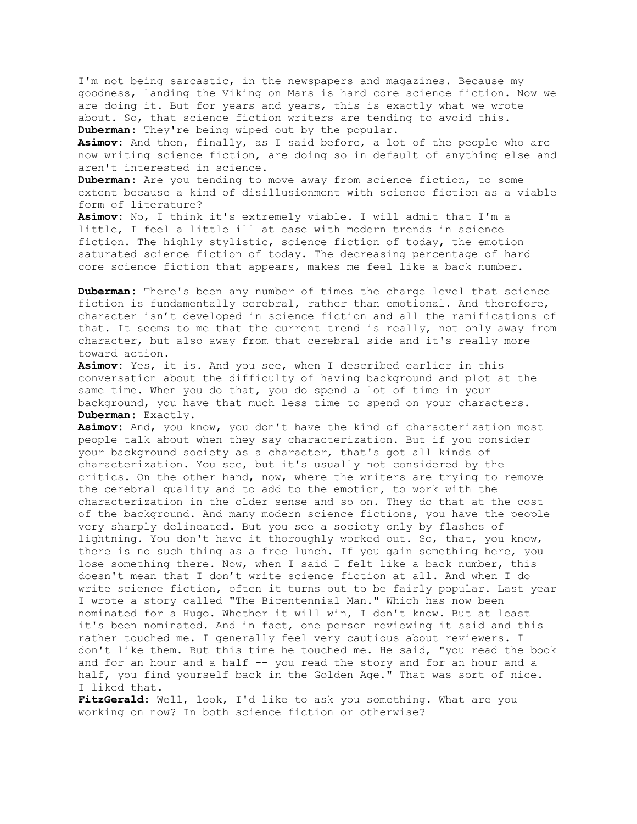I'm not being sarcastic, in the newspapers and magazines. Because my goodness, landing the Viking on Mars is hard core science fiction. Now we are doing it. But for years and years, this is exactly what we wrote about. So, that science fiction writers are tending to avoid this. **Duberman:** They're being wiped out by the popular.

**Asimov:** And then, finally, as I said before, a lot of the people who are now writing science fiction, are doing so in default of anything else and aren't interested in science.

**Duberman:** Are you tending to move away from science fiction, to some extent because a kind of disillusionment with science fiction as a viable form of literature?

**Asimov:** No, I think it's extremely viable. I will admit that I'm a little, I feel a little ill at ease with modern trends in science fiction. The highly stylistic, science fiction of today, the emotion saturated science fiction of today. The decreasing percentage of hard core science fiction that appears, makes me feel like a back number.

**Duberman:** There's been any number of times the charge level that science fiction is fundamentally cerebral, rather than emotional. And therefore, character isn't developed in science fiction and all the ramifications of that. It seems to me that the current trend is really, not only away from character, but also away from that cerebral side and it's really more toward action.

**Asimov:** Yes, it is. And you see, when I described earlier in this conversation about the difficulty of having background and plot at the same time. When you do that, you do spend a lot of time in your background, you have that much less time to spend on your characters. **Duberman:** Exactly.

**Asimov:** And, you know, you don't have the kind of characterization most people talk about when they say characterization. But if you consider your background society as a character, that's got all kinds of characterization. You see, but it's usually not considered by the critics. On the other hand, now, where the writers are trying to remove the cerebral quality and to add to the emotion, to work with the characterization in the older sense and so on. They do that at the cost of the background. And many modern science fictions, you have the people very sharply delineated. But you see a society only by flashes of lightning. You don't have it thoroughly worked out. So, that, you know, there is no such thing as a free lunch. If you gain something here, you lose something there. Now, when I said I felt like a back number, this doesn't mean that I don't write science fiction at all. And when I do write science fiction, often it turns out to be fairly popular. Last year I wrote a story called "The Bicentennial Man." Which has now been nominated for a Hugo. Whether it will win, I don't know. But at least it's been nominated. And in fact, one person reviewing it said and this rather touched me. I generally feel very cautious about reviewers. I don't like them. But this time he touched me. He said, "you read the book and for an hour and a half -- you read the story and for an hour and a half, you find yourself back in the Golden Age." That was sort of nice. I liked that.

**FitzGerald**: Well, look, I'd like to ask you something. What are you working on now? In both science fiction or otherwise?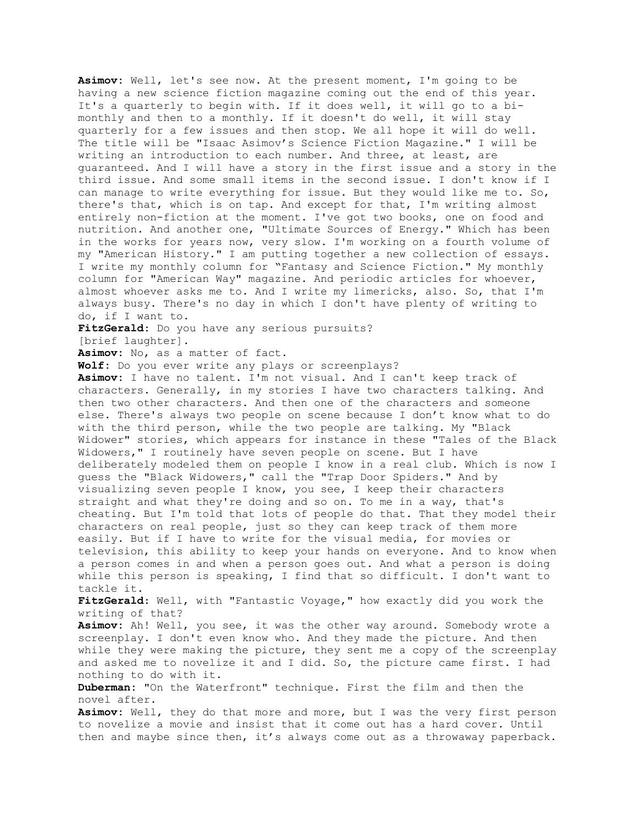**Asimov:** Well, let's see now. At the present moment, I'm going to be having a new science fiction magazine coming out the end of this year. It's a quarterly to begin with. If it does well, it will go to a bimonthly and then to a monthly. If it doesn't do well, it will stay quarterly for a few issues and then stop. We all hope it will do well. The title will be "Isaac Asimov's Science Fiction Magazine." I will be writing an introduction to each number. And three, at least, are guaranteed. And I will have a story in the first issue and a story in the third issue. And some small items in the second issue. I don't know if I can manage to write everything for issue. But they would like me to. So, there's that, which is on tap. And except for that, I'm writing almost entirely non-fiction at the moment. I've got two books, one on food and nutrition. And another one, "Ultimate Sources of Energy." Which has been in the works for years now, very slow. I'm working on a fourth volume of my "American History." I am putting together a new collection of essays. I write my monthly column for "Fantasy and Science Fiction." My monthly column for "American Way" magazine. And periodic articles for whoever, almost whoever asks me to. And I write my limericks, also. So, that I'm always busy. There's no day in which I don't have plenty of writing to do, if I want to. **FitzGerald**: Do you have any serious pursuits? [brief laughter]. **Asimov:** No, as a matter of fact. **Wolf:** Do you ever write any plays or screenplays? **Asimov:** I have no talent. I'm not visual. And I can't keep track of characters. Generally, in my stories I have two characters talking. And then two other characters. And then one of the characters and someone else. There's always two people on scene because I don't know what to do with the third person, while the two people are talking. My "Black Widower" stories, which appears for instance in these "Tales of the Black Widowers," I routinely have seven people on scene. But I have deliberately modeled them on people I know in a real club. Which is now I guess the "Black Widowers," call the "Trap Door Spiders." And by visualizing seven people I know, you see, I keep their characters straight and what they're doing and so on. To me in a way, that's cheating. But I'm told that lots of people do that. That they model their characters on real people, just so they can keep track of them more easily. But if I have to write for the visual media, for movies or television, this ability to keep your hands on everyone. And to know when a person comes in and when a person goes out. And what a person is doing while this person is speaking, I find that so difficult. I don't want to tackle it. **FitzGerald**: Well, with "Fantastic Voyage," how exactly did you work the writing of that? **Asimov:** Ah! Well, you see, it was the other way around. Somebody wrote a screenplay. I don't even know who. And they made the picture. And then while they were making the picture, they sent me a copy of the screenplay and asked me to novelize it and I did. So, the picture came first. I had nothing to do with it. **Duberman:** "On the Waterfront" technique. First the film and then the novel after. **Asimov:** Well, they do that more and more, but I was the very first person to novelize a movie and insist that it come out has a hard cover. Until then and maybe since then, it's always come out as a throwaway paperback.